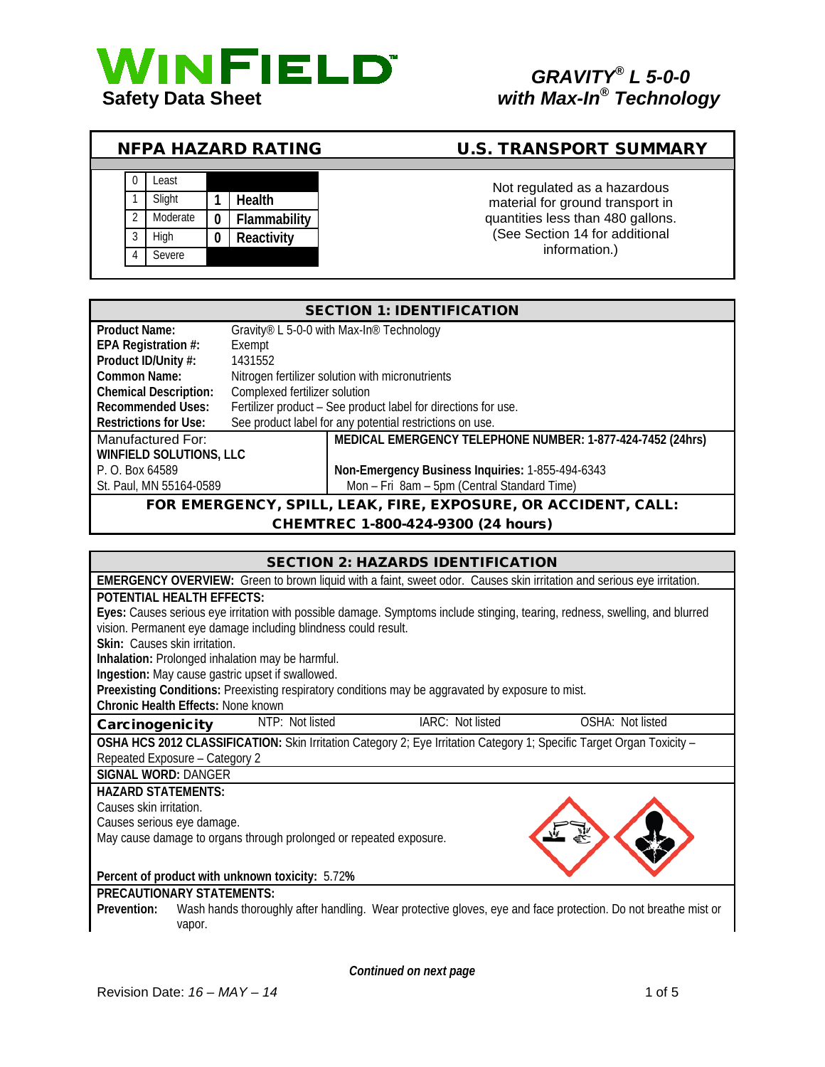

# *GRAVITY® L 5-0-0*

### NFPA HAZARD RATING U.S. TRANSPORT SUMMARY

|   | _east    |              | Not regulated as a hazardous      |  |  |
|---|----------|--------------|-----------------------------------|--|--|
|   | Slight   | Health       | material for ground transport in  |  |  |
|   | Moderate | Flammability | quantities less than 480 gallons. |  |  |
| 3 | Hiah     | Reactivity   | (See Section 14 for additional    |  |  |
| 4 | Severe   |              | information.)                     |  |  |

## quantities less than 480 gallons. (See Section 14 for additional information.)

| <b>SECTION 1: IDENTIFICATION</b>                               |                                                                |  |  |
|----------------------------------------------------------------|----------------------------------------------------------------|--|--|
| <b>Product Name:</b>                                           | Gravity® L 5-0-0 with Max-In® Technology                       |  |  |
| EPA Registration #:                                            | Exempt                                                         |  |  |
| Product ID/Unity #:                                            | 1431552                                                        |  |  |
| Common Name:                                                   | Nitrogen fertilizer solution with micronutrients               |  |  |
| <b>Chemical Description:</b>                                   | Complexed fertilizer solution                                  |  |  |
| <b>Recommended Uses:</b>                                       | Fertilizer product - See product label for directions for use. |  |  |
| <b>Restrictions for Use:</b>                                   | See product label for any potential restrictions on use.       |  |  |
| Manufactured For:                                              | MEDICAL EMERGENCY TELEPHONE NUMBER: 1-877-424-7452 (24hrs)     |  |  |
| <b>WINFIELD SOLUTIONS, LLC</b>                                 |                                                                |  |  |
| P. O. Box 64589                                                | Non-Emergency Business Inquiries: 1-855-494-6343               |  |  |
| St. Paul, MN 55164-0589                                        | Mon - Fri 8am - 5pm (Central Standard Time)                    |  |  |
| FOR EMERGENCY, SPILL, LEAK, FIRE, EXPOSURE, OR ACCIDENT, CALL: |                                                                |  |  |
| CHEMTREC 1-800-424-9300 (24 hours)                             |                                                                |  |  |

#### SECTION 2: HAZARDS IDENTIFICATION

| SECTIVN Z. HAZARDS IDENTIFICATIVN                                                                                      |                                                                                                                              |  |  |  |  |
|------------------------------------------------------------------------------------------------------------------------|------------------------------------------------------------------------------------------------------------------------------|--|--|--|--|
| EMERGENCY OVERVIEW: Green to brown liquid with a faint, sweet odor. Causes skin irritation and serious eye irritation. |                                                                                                                              |  |  |  |  |
| <b>POTENTIAL HEALTH EFFECTS:</b>                                                                                       |                                                                                                                              |  |  |  |  |
|                                                                                                                        | Eyes: Causes serious eye irritation with possible damage. Symptoms include stinging, tearing, redness, swelling, and blurred |  |  |  |  |
| vision. Permanent eye damage including blindness could result.                                                         |                                                                                                                              |  |  |  |  |
| Skin: Causes skin irritation.                                                                                          |                                                                                                                              |  |  |  |  |
| Inhalation: Prolonged inhalation may be harmful.                                                                       |                                                                                                                              |  |  |  |  |
| Ingestion: May cause gastric upset if swallowed.                                                                       |                                                                                                                              |  |  |  |  |
| Preexisting Conditions: Preexisting respiratory conditions may be aggravated by exposure to mist.                      |                                                                                                                              |  |  |  |  |
| Chronic Health Effects: None known                                                                                     |                                                                                                                              |  |  |  |  |
| NTP: Not listed<br>Carcinogenicity                                                                                     | IARC: Not listed<br>OSHA: Not listed                                                                                         |  |  |  |  |
|                                                                                                                        | OSHA HCS 2012 CLASSIFICATION: Skin Irritation Category 2; Eye Irritation Category 1; Specific Target Organ Toxicity -        |  |  |  |  |
| Repeated Exposure - Category 2                                                                                         |                                                                                                                              |  |  |  |  |
| <b>SIGNAL WORD: DANGER</b>                                                                                             |                                                                                                                              |  |  |  |  |
| <b>HAZARD STATEMENTS:</b>                                                                                              |                                                                                                                              |  |  |  |  |
| Causes skin irritation.                                                                                                |                                                                                                                              |  |  |  |  |
| Causes serious eye damage.                                                                                             |                                                                                                                              |  |  |  |  |
| May cause damage to organs through prolonged or repeated exposure.                                                     |                                                                                                                              |  |  |  |  |
|                                                                                                                        |                                                                                                                              |  |  |  |  |
| Percent of product with unknown toxicity: 5.72%                                                                        |                                                                                                                              |  |  |  |  |
| <b>PRECAUTIONARY STATEMENTS:</b>                                                                                       |                                                                                                                              |  |  |  |  |
| Prevention:                                                                                                            | Wash hands thoroughly after handling. Wear protective gloves, eye and face protection. Do not breathe mist or                |  |  |  |  |
| vapor.                                                                                                                 |                                                                                                                              |  |  |  |  |

*Continued on next page*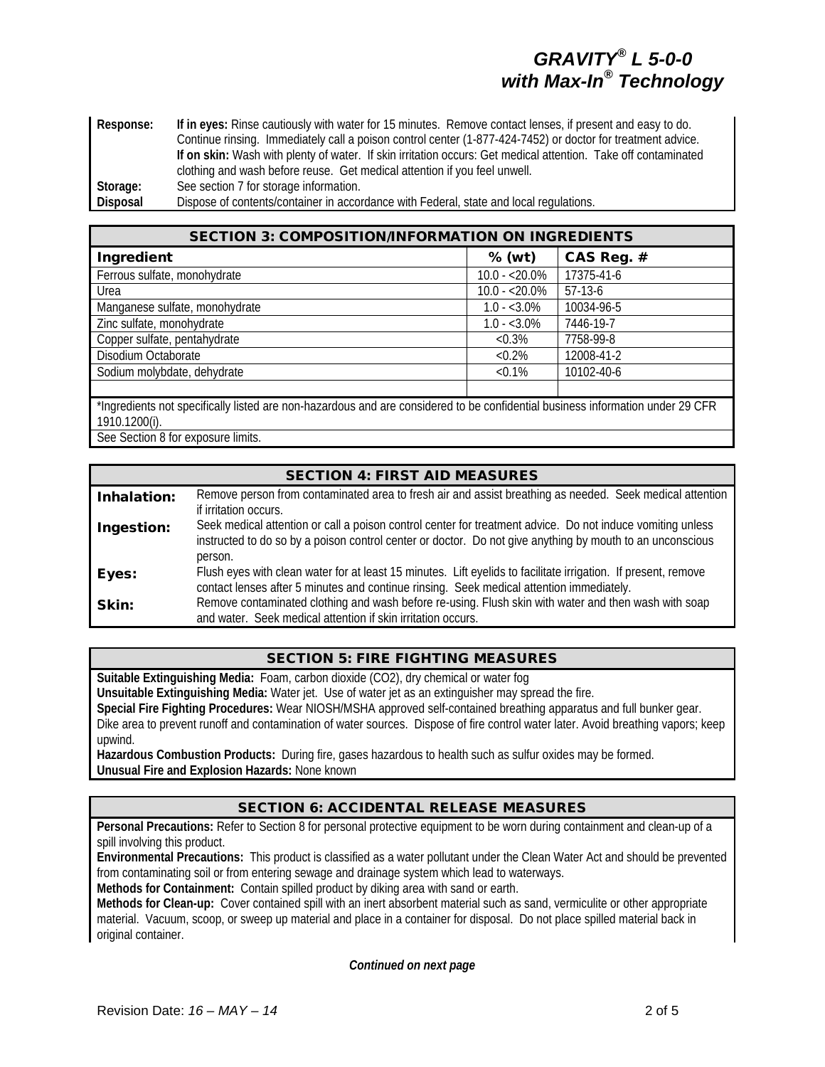**Response: If in eyes:** Rinse cautiously with water for 15 minutes. Remove contact lenses, if present and easy to do. Continue rinsing. Immediately call a poison control center (1-877-424-7452) or doctor for treatment advice. **If on skin:** Wash with plenty of water. If skin irritation occurs: Get medical attention. Take off contaminated clothing and wash before reuse. Get medical attention if you feel unwell. **Storage:** See section 7 for storage information. **Disposal** Dispose of contents/container in accordance with Federal, state and local regulations.

| <b>SECTION 3: COMPOSITION/INFORMATION ON INGREDIENTS</b>                                                                       |                 |            |  |  |
|--------------------------------------------------------------------------------------------------------------------------------|-----------------|------------|--|--|
| Ingredient                                                                                                                     | $%$ (wt)        | CAS Reg. # |  |  |
| Ferrous sulfate, monohydrate                                                                                                   | $10.0 - 20.0\%$ | 17375-41-6 |  |  |
| Urea                                                                                                                           | $10.0 - 20.0\%$ | $57-13-6$  |  |  |
| Manganese sulfate, monohydrate                                                                                                 | $1.0 - 3.0\%$   | 10034-96-5 |  |  |
| Zinc sulfate, monohydrate                                                                                                      | $1.0 - 3.0\%$   | 7446-19-7  |  |  |
| Copper sulfate, pentahydrate                                                                                                   | $< 0.3\%$       | 7758-99-8  |  |  |
| Disodium Octaborate                                                                                                            | $< 0.2\%$       | 12008-41-2 |  |  |
| Sodium molybdate, dehydrate                                                                                                    | $< 0.1\%$       | 10102-40-6 |  |  |
|                                                                                                                                |                 |            |  |  |
| *Ingredients not specifically listed are non-hazardous and are considered to be confidential business information under 29 CFR |                 |            |  |  |
| 1910.1200(i).                                                                                                                  |                 |            |  |  |

See Section 8 for exposure limits.

#### SECTION 4: FIRST AID MEASURES

| Inhalation: | Remove person from contaminated area to fresh air and assist breathing as needed. Seek medical attention       |
|-------------|----------------------------------------------------------------------------------------------------------------|
|             | if irritation occurs.                                                                                          |
| Ingestion:  | Seek medical attention or call a poison control center for treatment advice. Do not induce vomiting unless     |
|             | instructed to do so by a poison control center or doctor. Do not give anything by mouth to an unconscious      |
|             | person.                                                                                                        |
| Eyes:       | Flush eyes with clean water for at least 15 minutes. Lift eyelids to facilitate irrigation. If present, remove |
|             | contact lenses after 5 minutes and continue rinsing. Seek medical attention immediately.                       |
| Skin:       | Remove contaminated clothing and wash before re-using. Flush skin with water and then wash with soap           |
|             | and water. Seek medical attention if skin irritation occurs.                                                   |

#### SECTION 5: FIRE FIGHTING MEASURES

**Suitable Extinguishing Media:** Foam, carbon dioxide (CO2), dry chemical or water fog

**Unsuitable Extinguishing Media:** Water jet. Use of water jet as an extinguisher may spread the fire.

**Special Fire Fighting Procedures:** Wear NIOSH/MSHA approved self-contained breathing apparatus and full bunker gear. Dike area to prevent runoff and contamination of water sources. Dispose of fire control water later. Avoid breathing vapors; keep upwind.

**Hazardous Combustion Products:** During fire, gases hazardous to health such as sulfur oxides may be formed. **Unusual Fire and Explosion Hazards:** None known

#### SECTION 6: ACCIDENTAL RELEASE MEASURES

**Personal Precautions:** Refer to Section 8 for personal protective equipment to be worn during containment and clean-up of a spill involving this product.

**Environmental Precautions:** This product is classified as a water pollutant under the Clean Water Act and should be prevented from contaminating soil or from entering sewage and drainage system which lead to waterways.

**Methods for Containment:** Contain spilled product by diking area with sand or earth.

**Methods for Clean-up:** Cover contained spill with an inert absorbent material such as sand, vermiculite or other appropriate material. Vacuum, scoop, or sweep up material and place in a container for disposal. Do not place spilled material back in original container.

*Continued on next page*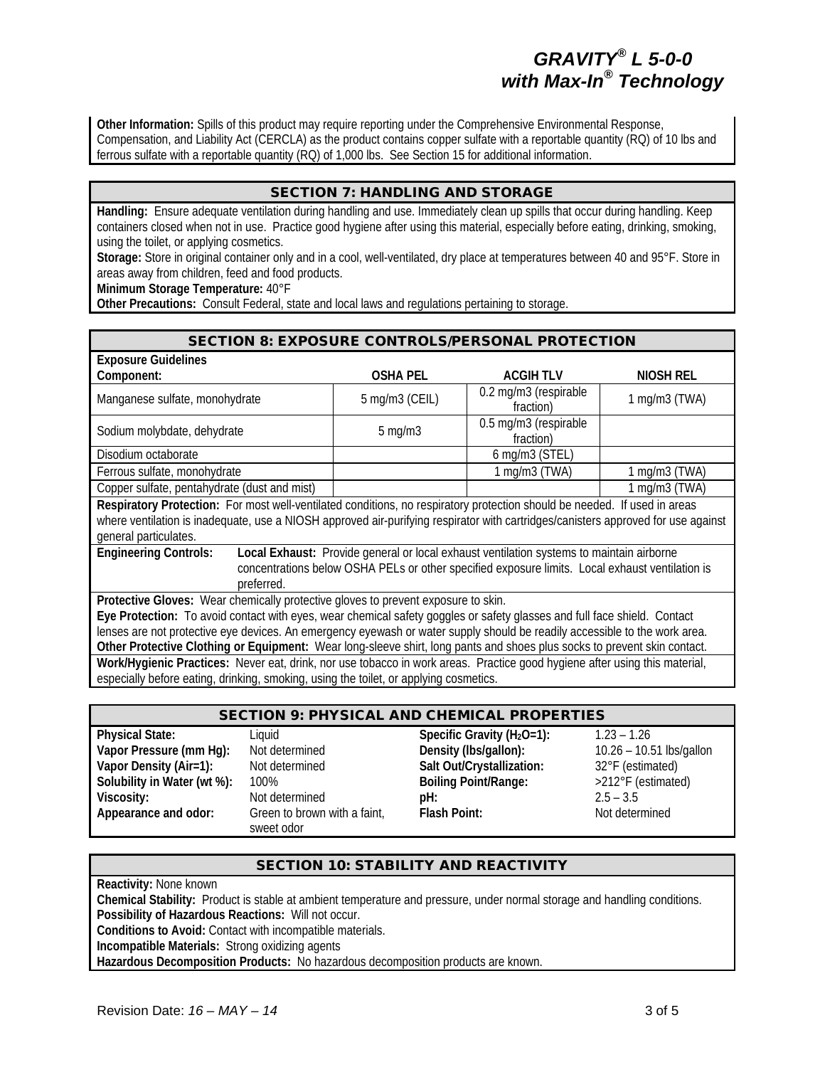**Other Information:** Spills of this product may require reporting under the Comprehensive Environmental Response, Compensation, and Liability Act (CERCLA) as the product contains copper sulfate with a reportable quantity (RQ) of 10 lbs and ferrous sulfate with a reportable quantity (RQ) of 1,000 lbs. See Section 15 for additional information.

#### SECTION 7: HANDLING AND STORAGE

**Handling:** Ensure adequate ventilation during handling and use. Immediately clean up spills that occur during handling. Keep containers closed when not in use. Practice good hygiene after using this material, especially before eating, drinking, smoking, using the toilet, or applying cosmetics.

**Storage:** Store in original container only and in a cool, well-ventilated, dry place at temperatures between 40 and 95°F. Store in areas away from children, feed and food products.

**Minimum Storage Temperature:** 40°F

**Other Precautions:** Consult Federal, state and local laws and regulations pertaining to storage.

| <b>SECTION 8: EXPOSURE CONTROLS/PERSONAL PROTECTION</b>                                                                                                                                                                                                                                                                                                                                                                                                                 |                 |                                    |                    |  |
|-------------------------------------------------------------------------------------------------------------------------------------------------------------------------------------------------------------------------------------------------------------------------------------------------------------------------------------------------------------------------------------------------------------------------------------------------------------------------|-----------------|------------------------------------|--------------------|--|
| <b>Exposure Guidelines</b>                                                                                                                                                                                                                                                                                                                                                                                                                                              |                 |                                    |                    |  |
| Component:                                                                                                                                                                                                                                                                                                                                                                                                                                                              | <b>OSHA PEL</b> | <b>ACGIH TLV</b>                   | NIOSH REL          |  |
| Manganese sulfate, monohydrate                                                                                                                                                                                                                                                                                                                                                                                                                                          | 5 mg/m3 (CEIL)  | 0.2 mg/m3 (respirable<br>fraction) | $1$ mg/m $3$ (TWA) |  |
| Sodium molybdate, dehydrate                                                                                                                                                                                                                                                                                                                                                                                                                                             | $5$ mg/m $3$    | 0.5 mg/m3 (respirable<br>fraction) |                    |  |
| Disodium octaborate                                                                                                                                                                                                                                                                                                                                                                                                                                                     |                 | 6 mg/m3 (STEL)                     |                    |  |
| Ferrous sulfate, monohydrate                                                                                                                                                                                                                                                                                                                                                                                                                                            |                 | 1 mg/m3 (TWA)                      | $1$ mg/m $3$ (TWA) |  |
| Copper sulfate, pentahydrate (dust and mist)                                                                                                                                                                                                                                                                                                                                                                                                                            |                 |                                    | $1$ mg/m $3$ (TWA) |  |
| Respiratory Protection: For most well-ventilated conditions, no respiratory protection should be needed. If used in areas<br>where ventilation is inadequate, use a NIOSH approved air-purifying respirator with cartridges/canisters approved for use against<br>general particulates.                                                                                                                                                                                 |                 |                                    |                    |  |
| <b>Engineering Controls:</b><br>Local Exhaust: Provide general or local exhaust ventilation systems to maintain airborne<br>concentrations below OSHA PELs or other specified exposure limits. Local exhaust ventilation is<br>preferred.                                                                                                                                                                                                                               |                 |                                    |                    |  |
| Protective Gloves: Wear chemically protective gloves to prevent exposure to skin.<br>Eye Protection: To avoid contact with eyes, wear chemical safety goggles or safety glasses and full face shield. Contact<br>lenses are not protective eye devices. An emergency eyewash or water supply should be readily accessible to the work area.<br>Other Protective Clothing or Equipment: Wear long-sleeve shirt, long pants and shoes plus socks to prevent skin contact. |                 |                                    |                    |  |
| Work/Hygienic Practices: Never eat, drink, nor use tobacco in work areas. Practice good hygiene after using this material,<br>especially before eating, drinking, smoking, using the toilet, or applying cosmetics.                                                                                                                                                                                                                                                     |                 |                                    |                    |  |

| <b>SECTION 9: PHYSICAL AND CHEMICAL PROPERTIES</b> |                                            |                                |                          |  |
|----------------------------------------------------|--------------------------------------------|--------------------------------|--------------------------|--|
| <b>Physical State:</b>                             | Liquid                                     | Specific Gravity ( $H_2O=1$ ): | $1.23 - 1.26$            |  |
| Vapor Pressure (mm Hg):                            | Not determined                             | Density (Ibs/gallon):          | 10.26 - 10.51 lbs/gallon |  |
| Vapor Density (Air=1):                             | Not determined                             | Salt Out/Crystallization:      | 32°F (estimated)         |  |
| Solubility in Water (wt %):                        | 100%                                       | <b>Boiling Point/Range:</b>    | >212°F (estimated)       |  |
| Viscosity:                                         | Not determined                             | pH:                            | $2.5 - 3.5$              |  |
| Appearance and odor:                               | Green to brown with a faint,<br>sweet odor | Flash Point:                   | Not determined           |  |

#### SECTION 10: STABILITY AND REACTIVITY

**Reactivity:** None known **Chemical Stability:** Product is stable at ambient temperature and pressure, under normal storage and handling conditions. **Possibility of Hazardous Reactions:** Will not occur. **Conditions to Avoid:** Contact with incompatible materials. **Incompatible Materials:** Strong oxidizing agents **Hazardous Decomposition Products:** No hazardous decomposition products are known.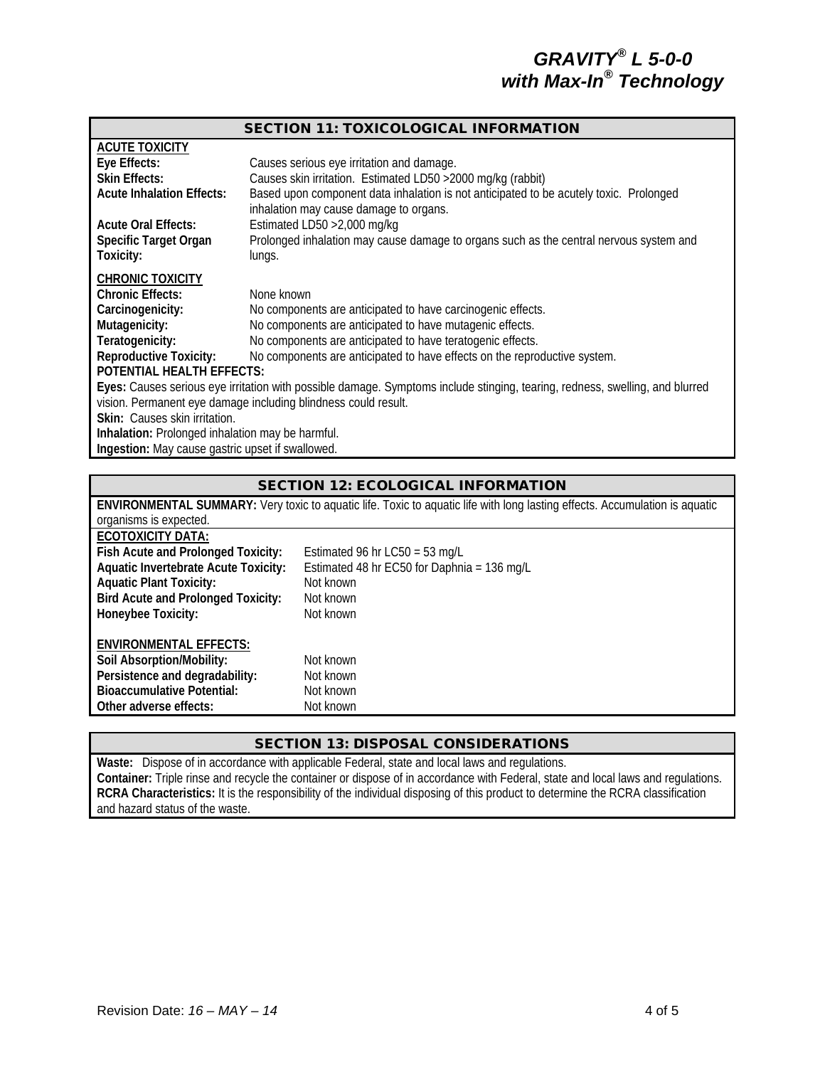| <b>SECTION 11: TOXICOLOGICAL INFORMATION</b>                                                                                 |                                                                                        |  |  |
|------------------------------------------------------------------------------------------------------------------------------|----------------------------------------------------------------------------------------|--|--|
| <b>ACUTE TOXICITY</b>                                                                                                        |                                                                                        |  |  |
| Eye Effects:                                                                                                                 | Causes serious eye irritation and damage.                                              |  |  |
| <b>Skin Effects:</b>                                                                                                         | Causes skin irritation. Estimated LD50 > 2000 mg/kg (rabbit)                           |  |  |
| <b>Acute Inhalation Effects:</b>                                                                                             | Based upon component data inhalation is not anticipated to be acutely toxic. Prolonged |  |  |
|                                                                                                                              | inhalation may cause damage to organs.                                                 |  |  |
| <b>Acute Oral Effects:</b>                                                                                                   | Estimated LD50 > 2,000 mg/kg                                                           |  |  |
| Specific Target Organ                                                                                                        | Prolonged inhalation may cause damage to organs such as the central nervous system and |  |  |
| Toxicity:                                                                                                                    | lungs.                                                                                 |  |  |
| <b>CHRONIC TOXICITY</b>                                                                                                      |                                                                                        |  |  |
| <b>Chronic Effects:</b>                                                                                                      | None known                                                                             |  |  |
| Carcinogenicity:                                                                                                             | No components are anticipated to have carcinogenic effects.                            |  |  |
| Mutagenicity:                                                                                                                | No components are anticipated to have mutagenic effects.                               |  |  |
| Teratogenicity:                                                                                                              | No components are anticipated to have teratogenic effects.                             |  |  |
| <b>Reproductive Toxicity:</b>                                                                                                | No components are anticipated to have effects on the reproductive system.              |  |  |
| POTENTIAL HEALTH EFFECTS:                                                                                                    |                                                                                        |  |  |
| Eyes: Causes serious eye irritation with possible damage. Symptoms include stinging, tearing, redness, swelling, and blurred |                                                                                        |  |  |
| vision. Permanent eye damage including blindness could result.                                                               |                                                                                        |  |  |
| Skin: Causes skin irritation.                                                                                                |                                                                                        |  |  |
| Inhalation: Prolonged inhalation may be harmful.                                                                             |                                                                                        |  |  |
| Ingestion: May cause gastric upset if swallowed.                                                                             |                                                                                        |  |  |

#### SECTION 12: ECOLOGICAL INFORMATION

| <b>ENVIRONMENTAL SUMMARY:</b> Very toxic to aquatic life. Toxic to aquatic life with long lasting effects. Accumulation is aquatic |                                             |  |  |  |
|------------------------------------------------------------------------------------------------------------------------------------|---------------------------------------------|--|--|--|
| organisms is expected.                                                                                                             |                                             |  |  |  |
| <b>ECOTOXICITY DATA:</b>                                                                                                           |                                             |  |  |  |
| Fish Acute and Prolonged Toxicity:                                                                                                 | Estimated 96 hr $LCS0 = 53$ mg/L            |  |  |  |
| <b>Aquatic Invertebrate Acute Toxicity:</b>                                                                                        | Estimated 48 hr EC50 for Daphnia = 136 mg/L |  |  |  |
| <b>Aquatic Plant Toxicity:</b>                                                                                                     | Not known                                   |  |  |  |
| <b>Bird Acute and Prolonged Toxicity:</b>                                                                                          | Not known                                   |  |  |  |
| Honeybee Toxicity:                                                                                                                 | Not known                                   |  |  |  |
| <b>ENVIRONMENTAL EFFECTS:</b>                                                                                                      |                                             |  |  |  |
| Soil Absorption/Mobility:                                                                                                          | Not known                                   |  |  |  |
| Persistence and degradability:                                                                                                     | Not known                                   |  |  |  |
| <b>Bioaccumulative Potential:</b>                                                                                                  | Not known                                   |  |  |  |
| Other adverse effects:                                                                                                             | Not known                                   |  |  |  |
|                                                                                                                                    |                                             |  |  |  |

#### SECTION 13: DISPOSAL CONSIDERATIONS

**Waste:** Dispose of in accordance with applicable Federal, state and local laws and regulations. **Container:** Triple rinse and recycle the container or dispose of in accordance with Federal, state and local laws and regulations. **RCRA Characteristics:** It is the responsibility of the individual disposing of this product to determine the RCRA classification and hazard status of the waste.